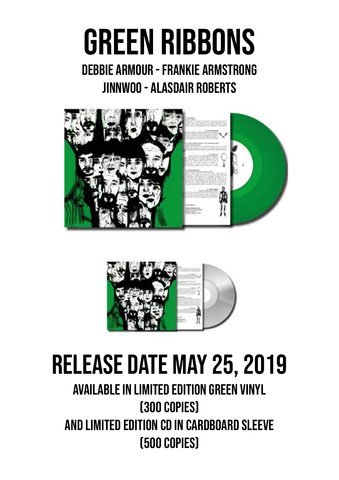## GREEN RIBBONS

### Debbie Armour - Frankie Armstrong Jinnwoo - Alasdair Roberts





## Release date May 25, 2019

## Available in limited edition green vinyl (300 copies) And limited edition cd in cardboard sleeve (500 Copies)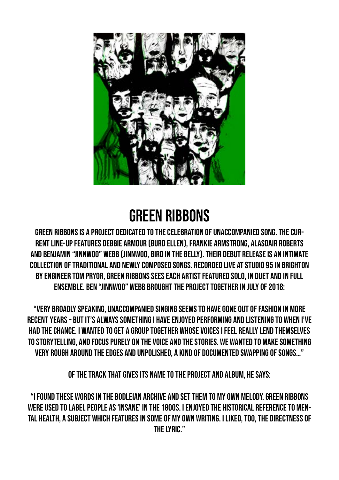

## GREEN RIBBONS

Green Ribbons is a project dedicated to the celebration of unaccompanied song. The current line-up features Debbie Armour (Burd Ellen), Frankie Armstrong, Alasdair Roberts and Benjamin "Jinnwoo" Webb (Jinnwoo, Bird in the Belly). Their debut release is an intimate collection of traditional and newly composed songs. Recorded live at Studio 95 in Brighton by engineer Tom Pryor, GREEN RIBBONS sees each artist featured solo, in duet and in full ensemble. Ben "Jinnwoo" Webb brought the project together in July of 2018:

"Very broadly speaking, unaccompanied singing seems to have gone out of fashion in more recent years – but it's always something I have enjoyed performing and listening to when I've had the chance. I wanted to get a group together whose voices I feel really lend themselves to storytelling, and focus purely on the voice and the stories. We wanted to make something very rough around the edges and unpolished, a kind of documented swapping of songs…"

Of the track that gives its name to the project and album, he says:

"I found these words in the Bodleian Archive and set them to my own melody. Green Ribbons were used to label people as 'insane' in the 1800s. I enjoyed the historical reference to mental health, a subject which features in some of my own writing. I liked, too, the directness of the lyric."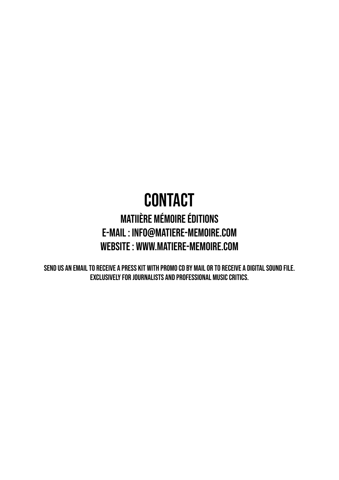## **CONTACT**

### MATIière mémoire éditions e-mail : info@matiere-memoire.com website : www.matiere-memoire.com

Send us an email to receive a press kit with promo CD by mail or to receive a digital sound file. Exclusively for journalists and professional music critics.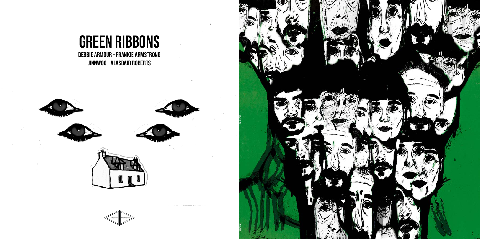

# GREEN RIBBONS

Debbie Armour - Frankie Armstrong Jinnwoo - Alasdair Roberts